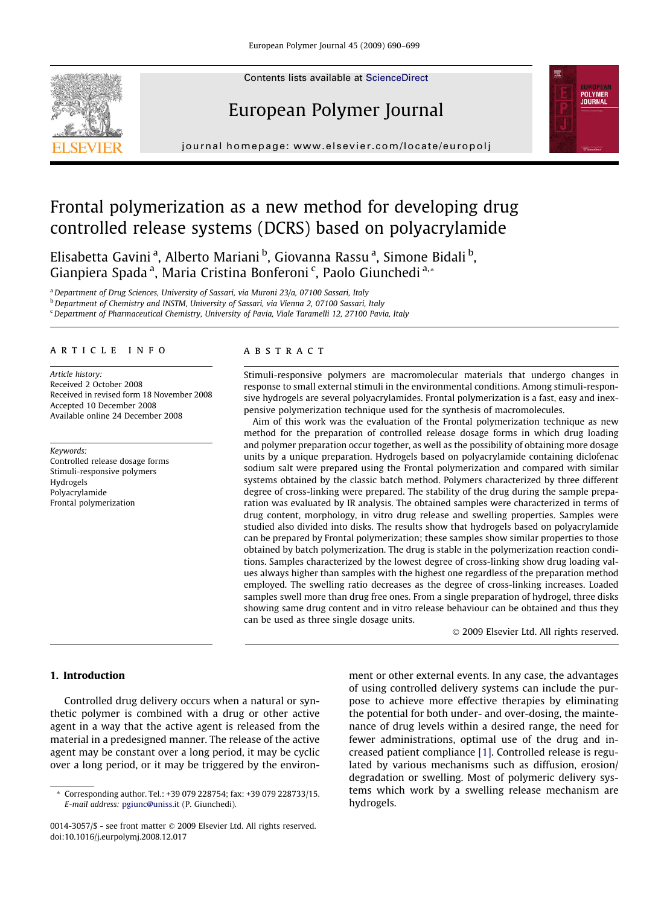Contents lists available at [ScienceDirect](http://www.sciencedirect.com/science/journal/00143057)





journal homepage: [www.elsevier.com/locate/europolj](http://www.elsevier.com/locate/europolj)

# Frontal polymerization as a new method for developing drug controlled release systems (DCRS) based on polyacrylamide

Elisabetta Gavini<sup>a</sup>, Alberto Mariani<sup>b</sup>, Giovanna Rassu<sup>a</sup>, Simone Bidali<sup>b</sup>, Gianpiera Spada<sup>a</sup>, Maria Cristina Bonferoni<sup>c</sup>, Paolo Giunchedi<sup>a,\*</sup>

<sup>a</sup> Department of Drug Sciences, University of Sassari, via Muroni 23/a, 07100 Sassari, Italy <sup>b</sup> Department of Chemistry and INSTM, University of Sassari, via Vienna 2, 07100 Sassari, Italy <sup>c</sup> Department of Pharmaceutical Chemistry, University of Pavia, Viale Taramelli 12, 27100 Pavia, Italy

# article info

Article history: Received 2 October 2008 Received in revised form 18 November 2008 Accepted 10 December 2008 Available online 24 December 2008

Keywords:

Controlled release dosage forms Stimuli-responsive polymers Hydrogels Polyacrylamide Frontal polymerization

#### **ABSTRACT**

Stimuli-responsive polymers are macromolecular materials that undergo changes in response to small external stimuli in the environmental conditions. Among stimuli-responsive hydrogels are several polyacrylamides. Frontal polymerization is a fast, easy and inexpensive polymerization technique used for the synthesis of macromolecules.

Aim of this work was the evaluation of the Frontal polymerization technique as new method for the preparation of controlled release dosage forms in which drug loading and polymer preparation occur together, as well as the possibility of obtaining more dosage units by a unique preparation. Hydrogels based on polyacrylamide containing diclofenac sodium salt were prepared using the Frontal polymerization and compared with similar systems obtained by the classic batch method. Polymers characterized by three different degree of cross-linking were prepared. The stability of the drug during the sample preparation was evaluated by IR analysis. The obtained samples were characterized in terms of drug content, morphology, in vitro drug release and swelling properties. Samples were studied also divided into disks. The results show that hydrogels based on polyacrylamide can be prepared by Frontal polymerization; these samples show similar properties to those obtained by batch polymerization. The drug is stable in the polymerization reaction conditions. Samples characterized by the lowest degree of cross-linking show drug loading values always higher than samples with the highest one regardless of the preparation method employed. The swelling ratio decreases as the degree of cross-linking increases. Loaded samples swell more than drug free ones. From a single preparation of hydrogel, three disks showing same drug content and in vitro release behaviour can be obtained and thus they can be used as three single dosage units.

- 2009 Elsevier Ltd. All rights reserved.

# 1. Introduction

Controlled drug delivery occurs when a natural or synthetic polymer is combined with a drug or other active agent in a way that the active agent is released from the material in a predesigned manner. The release of the active agent may be constant over a long period, it may be cyclic over a long period, or it may be triggered by the environ-

ment or other external events. In any case, the advantages of using controlled delivery systems can include the purpose to achieve more effective therapies by eliminating the potential for both under- and over-dosing, the maintenance of drug levels within a desired range, the need for fewer administrations, optimal use of the drug and increased patient compliance [\[1\]](#page-8-0). Controlled release is regulated by various mechanisms such as diffusion, erosion/ degradation or swelling. Most of polymeric delivery systems which work by a swelling release mechanism are hydrogels.

<sup>\*</sup> Corresponding author. Tel.: +39 079 228754; fax: +39 079 228733/15. E-mail address: [pgiunc@uniss.it](mailto:pgiunc@uniss.it) (P. Giunchedi).

<sup>0014-3057/\$ -</sup> see front matter © 2009 Elsevier Ltd. All rights reserved. doi:10.1016/j.eurpolymj.2008.12.017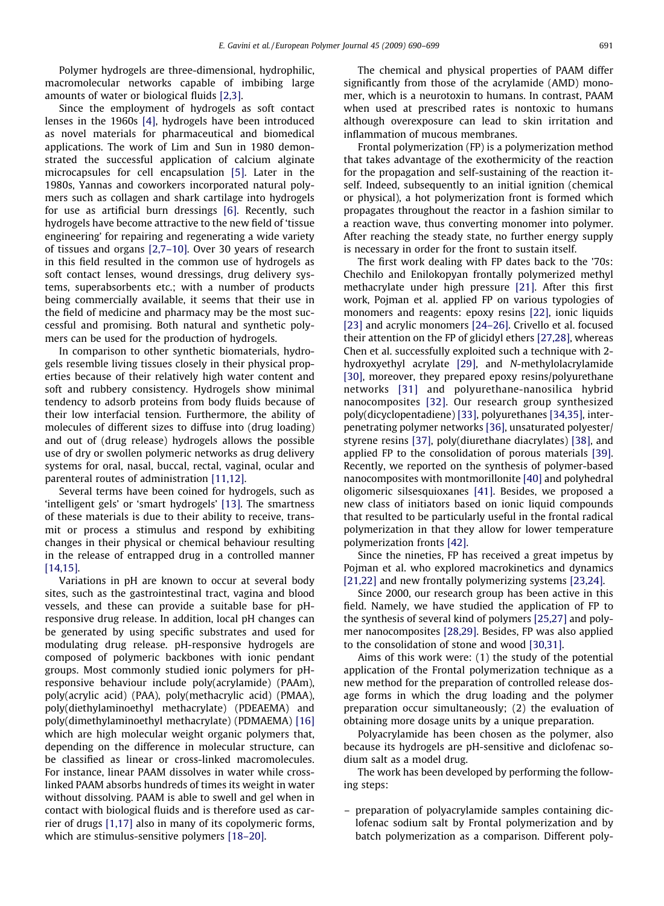Polymer hydrogels are three-dimensional, hydrophilic, macromolecular networks capable of imbibing large amounts of water or biological fluids [\[2,3\].](#page-8-0)

Since the employment of hydrogels as soft contact lenses in the 1960s [\[4\],](#page-8-0) hydrogels have been introduced as novel materials for pharmaceutical and biomedical applications. The work of Lim and Sun in 1980 demonstrated the successful application of calcium alginate microcapsules for cell encapsulation [\[5\]](#page-8-0). Later in the 1980s, Yannas and coworkers incorporated natural polymers such as collagen and shark cartilage into hydrogels for use as artificial burn dressings [\[6\]](#page-8-0). Recently, such hydrogels have become attractive to the new field of 'tissue engineering' for repairing and regenerating a wide variety of tissues and organs [\[2,7–10\]](#page-8-0). Over 30 years of research in this field resulted in the common use of hydrogels as soft contact lenses, wound dressings, drug delivery systems, superabsorbents etc.; with a number of products being commercially available, it seems that their use in the field of medicine and pharmacy may be the most successful and promising. Both natural and synthetic polymers can be used for the production of hydrogels.

In comparison to other synthetic biomaterials, hydrogels resemble living tissues closely in their physical properties because of their relatively high water content and soft and rubbery consistency. Hydrogels show minimal tendency to adsorb proteins from body fluids because of their low interfacial tension. Furthermore, the ability of molecules of different sizes to diffuse into (drug loading) and out of (drug release) hydrogels allows the possible use of dry or swollen polymeric networks as drug delivery systems for oral, nasal, buccal, rectal, vaginal, ocular and parenteral routes of administration [\[11,12\]](#page-8-0).

Several terms have been coined for hydrogels, such as 'intelligent gels' or 'smart hydrogels' [\[13\]](#page-8-0). The smartness of these materials is due to their ability to receive, transmit or process a stimulus and respond by exhibiting changes in their physical or chemical behaviour resulting in the release of entrapped drug in a controlled manner [\[14,15\].](#page-8-0)

Variations in pH are known to occur at several body sites, such as the gastrointestinal tract, vagina and blood vessels, and these can provide a suitable base for pHresponsive drug release. In addition, local pH changes can be generated by using specific substrates and used for modulating drug release. pH-responsive hydrogels are composed of polymeric backbones with ionic pendant groups. Most commonly studied ionic polymers for pHresponsive behaviour include poly(acrylamide) (PAAm), poly(acrylic acid) (PAA), poly(methacrylic acid) (PMAA), poly(diethylaminoethyl methacrylate) (PDEAEMA) and poly(dimethylaminoethyl methacrylate) (PDMAEMA) [\[16\]](#page-8-0) which are high molecular weight organic polymers that, depending on the difference in molecular structure, can be classified as linear or cross-linked macromolecules. For instance, linear PAAM dissolves in water while crosslinked PAAM absorbs hundreds of times its weight in water without dissolving. PAAM is able to swell and gel when in contact with biological fluids and is therefore used as carrier of drugs [\[1,17\]](#page-8-0) also in many of its copolymeric forms, which are stimulus-sensitive polymers [\[18–20\].](#page-8-0)

The chemical and physical properties of PAAM differ significantly from those of the acrylamide (AMD) monomer, which is a neurotoxin to humans. In contrast, PAAM when used at prescribed rates is nontoxic to humans although overexposure can lead to skin irritation and inflammation of mucous membranes.

Frontal polymerization (FP) is a polymerization method that takes advantage of the exothermicity of the reaction for the propagation and self-sustaining of the reaction itself. Indeed, subsequently to an initial ignition (chemical or physical), a hot polymerization front is formed which propagates throughout the reactor in a fashion similar to a reaction wave, thus converting monomer into polymer. After reaching the steady state, no further energy supply is necessary in order for the front to sustain itself.

The first work dealing with FP dates back to the '70s: Chechilo and Enilokopyan frontally polymerized methyl methacrylate under high pressure [\[21\]](#page-8-0). After this first work, Pojman et al. applied FP on various typologies of monomers and reagents: epoxy resins [\[22\]](#page-8-0), ionic liquids [\[23\]](#page-8-0) and acrylic monomers [24-26]. Crivello et al. focused their attention on the FP of glicidyl ethers [\[27,28\]](#page-8-0), whereas Chen et al. successfully exploited such a technique with 2 hydroxyethyl acrylate [\[29\]](#page-9-0), and N-methylolacrylamide [\[30\]](#page-9-0), moreover, they prepared epoxy resins/polyurethane networks [\[31\]](#page-9-0) and polyurethane-nanosilica hybrid nanocomposites [\[32\].](#page-9-0) Our research group synthesized poly(dicyclopentadiene) [\[33\],](#page-9-0) polyurethanes [\[34,35\],](#page-9-0) interpenetrating polymer networks [\[36\],](#page-9-0) unsaturated polyester/ styrene resins [\[37\]](#page-9-0), poly(diurethane diacrylates) [\[38\]](#page-9-0), and applied FP to the consolidation of porous materials [\[39\]](#page-9-0). Recently, we reported on the synthesis of polymer-based nanocomposites with montmorillonite [\[40\]](#page-9-0) and polyhedral oligomeric silsesquioxanes [\[41\]](#page-9-0). Besides, we proposed a new class of initiators based on ionic liquid compounds that resulted to be particularly useful in the frontal radical polymerization in that they allow for lower temperature polymerization fronts [\[42\]](#page-9-0).

Since the nineties, FP has received a great impetus by Pojman et al. who explored macrokinetics and dynamics [\[21,22\]](#page-8-0) and new frontally polymerizing systems [\[23,24\]](#page-8-0).

Since 2000, our research group has been active in this field. Namely, we have studied the application of FP to the synthesis of several kind of polymers [\[25,27\]](#page-8-0) and polymer nanocomposites [\[28,29\].](#page-8-0) Besides, FP was also applied to the consolidation of stone and wood [\[30,31\].](#page-9-0)

Aims of this work were: (1) the study of the potential application of the Frontal polymerization technique as a new method for the preparation of controlled release dosage forms in which the drug loading and the polymer preparation occur simultaneously; (2) the evaluation of obtaining more dosage units by a unique preparation.

Polyacrylamide has been chosen as the polymer, also because its hydrogels are pH-sensitive and diclofenac sodium salt as a model drug.

The work has been developed by performing the following steps:

– preparation of polyacrylamide samples containing diclofenac sodium salt by Frontal polymerization and by batch polymerization as a comparison. Different poly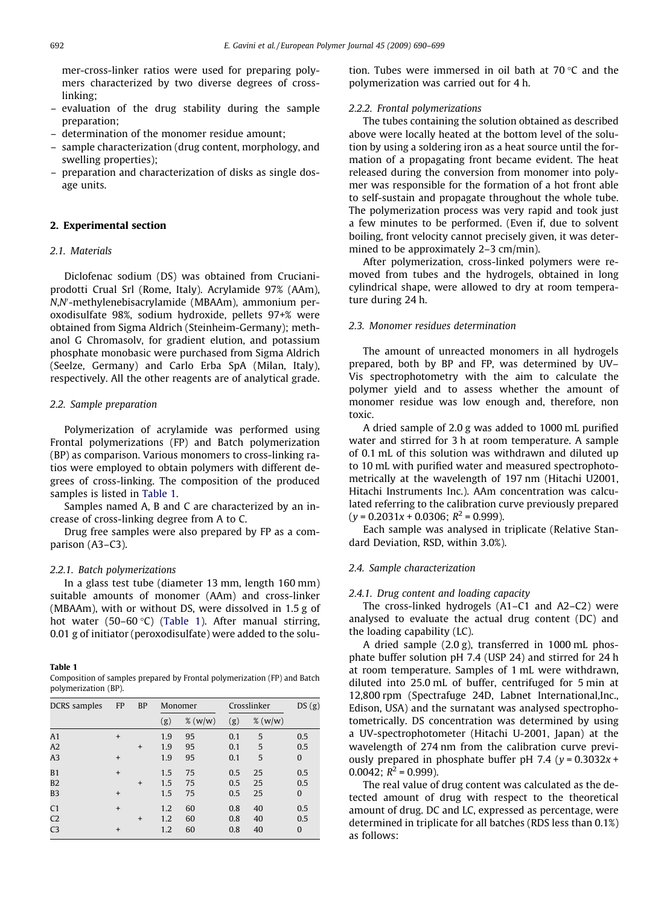mer-cross-linker ratios were used for preparing polymers characterized by two diverse degrees of crosslinking;

- evaluation of the drug stability during the sample preparation;
- determination of the monomer residue amount;
- sample characterization (drug content, morphology, and swelling properties);
- preparation and characterization of disks as single dosage units.

# 2. Experimental section

# 2.1. Materials

Diclofenac sodium (DS) was obtained from Crucianiprodotti Crual Srl (Rome, Italy). Acrylamide 97% (AAm), N,N'-methylenebisacrylamide (MBAAm), ammonium peroxodisulfate 98%, sodium hydroxide, pellets 97+% were obtained from Sigma Aldrich (Steinheim-Germany); methanol G Chromasolv, for gradient elution, and potassium phosphate monobasic were purchased from Sigma Aldrich (Seelze, Germany) and Carlo Erba SpA (Milan, Italy), respectively. All the other reagents are of analytical grade.

### 2.2. Sample preparation

Polymerization of acrylamide was performed using Frontal polymerizations (FP) and Batch polymerization (BP) as comparison. Various monomers to cross-linking ratios were employed to obtain polymers with different degrees of cross-linking. The composition of the produced samples is listed in Table 1.

Samples named A, B and C are characterized by an increase of cross-linking degree from A to C.

Drug free samples were also prepared by FP as a comparison (A3–C3).

# 2.2.1. Batch polymerizations

In a glass test tube (diameter 13 mm, length 160 mm) suitable amounts of monomer (AAm) and cross-linker (MBAAm), with or without DS, were dissolved in 1.5 g of hot water (50–60 $°C$ ) (Table 1). After manual stirring, 0.01 g of initiator (peroxodisulfate) were added to the solu-

#### Table 1

Composition of samples prepared by Frontal polymerization (FP) and Batch polymerization (BP).

| <b>DCRS</b> samples | FP        | <b>BP</b> | Monomer |            | Crosslinker |            | DS(g)    |
|---------------------|-----------|-----------|---------|------------|-------------|------------|----------|
|                     |           |           | (g)     | $\%$ (w/w) | (g)         | $\%$ (w/w) |          |
| A <sub>1</sub>      | $\ddot{}$ |           | 1.9     | 95         | 0.1         | 5          | 0.5      |
| A2                  |           | $\ddot{}$ | 1.9     | 95         | 0.1         | 5          | 0.5      |
| A <sub>3</sub>      | $+$       |           | 1.9     | 95         | 0.1         | 5          | $\bf{0}$ |
| B <sub>1</sub>      | $\ddot{}$ |           | 1.5     | 75         | 0.5         | 25         | 0.5      |
| <b>B2</b>           |           | $\ddot{}$ | 1.5     | 75         | 0.5         | 25         | 0.5      |
| B <sub>3</sub>      | $+$       |           | 1.5     | 75         | 0.5         | 25         | 0        |
| C <sub>1</sub>      | $+$       |           | 1.2     | 60         | 0.8         | 40         | 0.5      |
| C <sub>2</sub>      |           | $\ddot{}$ | 1.2     | 60         | 0.8         | 40         | 0.5      |
| C <sub>3</sub>      | $\ddot{}$ |           | 1.2     | 60         | 0.8         | 40         | $\bf{0}$ |

tion. Tubes were immersed in oil bath at 70  $\degree$ C and the polymerization was carried out for 4 h.

# 2.2.2. Frontal polymerizations

The tubes containing the solution obtained as described above were locally heated at the bottom level of the solution by using a soldering iron as a heat source until the formation of a propagating front became evident. The heat released during the conversion from monomer into polymer was responsible for the formation of a hot front able to self-sustain and propagate throughout the whole tube. The polymerization process was very rapid and took just a few minutes to be performed. (Even if, due to solvent boiling, front velocity cannot precisely given, it was determined to be approximately 2–3 cm/min).

After polymerization, cross-linked polymers were removed from tubes and the hydrogels, obtained in long cylindrical shape, were allowed to dry at room temperature during 24 h.

#### 2.3. Monomer residues determination

The amount of unreacted monomers in all hydrogels prepared, both by BP and FP, was determined by UV– Vis spectrophotometry with the aim to calculate the polymer yield and to assess whether the amount of monomer residue was low enough and, therefore, non toxic.

A dried sample of 2.0 g was added to 1000 mL purified water and stirred for 3 h at room temperature. A sample of 0.1 mL of this solution was withdrawn and diluted up to 10 mL with purified water and measured spectrophotometrically at the wavelength of 197 nm (Hitachi U2001, Hitachi Instruments Inc.). AAm concentration was calculated referring to the calibration curve previously prepared  $(y = 0.2031x + 0.0306; R^2 = 0.999)$ .

Each sample was analysed in triplicate (Relative Standard Deviation, RSD, within 3.0%).

# 2.4. Sample characterization

#### 2.4.1. Drug content and loading capacity

The cross-linked hydrogels (A1–C1 and A2–C2) were analysed to evaluate the actual drug content (DC) and the loading capability (LC).

A dried sample (2.0 g), transferred in 1000 mL phosphate buffer solution pH 7.4 (USP 24) and stirred for 24 h at room temperature. Samples of 1 mL were withdrawn, diluted into 25.0 mL of buffer, centrifuged for 5 min at 12,800 rpm (Spectrafuge 24D, Labnet International,Inc., Edison, USA) and the surnatant was analysed spectrophotometrically. DS concentration was determined by using a UV-spectrophotometer (Hitachi U-2001, Japan) at the wavelength of 274 nm from the calibration curve previously prepared in phosphate buffer pH 7.4 ( $y = 0.3032x +$  $0.0042$ ;  $R^2 = 0.999$ ).

The real value of drug content was calculated as the detected amount of drug with respect to the theoretical amount of drug. DC and LC, expressed as percentage, were determined in triplicate for all batches (RDS less than 0.1%) as follows: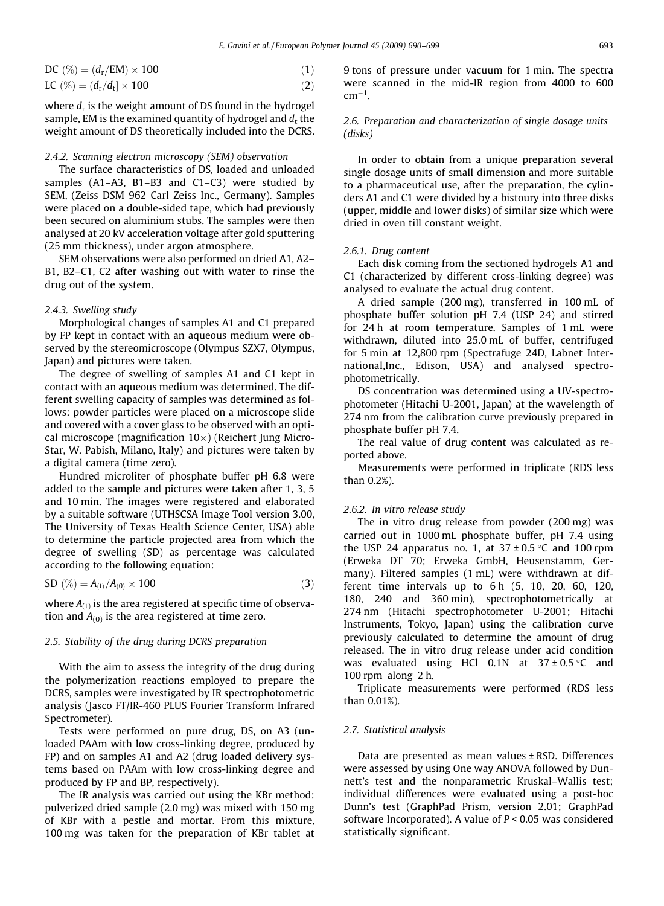<span id="page-3-0"></span>
$$
DC (\%) = (d_r/EM) \times 100
$$
  
\n
$$
LC (\%) = (d_r/d_t) \times 100
$$
 (1)  
\n(2)

where  $d_r$  is the weight amount of DS found in the hydrogel sample, EM is the examined quantity of hydrogel and  $d_t$  the weight amount of DS theoretically included into the DCRS.

#### 2.4.2. Scanning electron microscopy (SEM) observation

The surface characteristics of DS, loaded and unloaded samples (A1–A3, B1–B3 and C1–C3) were studied by SEM, (Zeiss DSM 962 Carl Zeiss Inc., Germany). Samples were placed on a double-sided tape, which had previously been secured on aluminium stubs. The samples were then analysed at 20 kV acceleration voltage after gold sputtering (25 mm thickness), under argon atmosphere.

SEM observations were also performed on dried A1, A2– B1, B2–C1, C2 after washing out with water to rinse the drug out of the system.

#### 2.4.3. Swelling study

Morphological changes of samples A1 and C1 prepared by FP kept in contact with an aqueous medium were observed by the stereomicroscope (Olympus SZX7, Olympus, Japan) and pictures were taken.

The degree of swelling of samples A1 and C1 kept in contact with an aqueous medium was determined. The different swelling capacity of samples was determined as follows: powder particles were placed on a microscope slide and covered with a cover glass to be observed with an optical microscope (magnification 10 $\times$ ) (Reichert Jung Micro-Star, W. Pabish, Milano, Italy) and pictures were taken by a digital camera (time zero).

Hundred microliter of phosphate buffer pH 6.8 were added to the sample and pictures were taken after 1, 3, 5 and 10 min. The images were registered and elaborated by a suitable software (UTHSCSA Image Tool version 3.00, The University of Texas Health Science Center, USA) able to determine the particle projected area from which the degree of swelling (SD) as percentage was calculated according to the following equation:

SD 
$$
(\%) = A_{(t)}/A_{(0)} \times 100
$$
 (3)

where  $A_{(t)}$  is the area registered at specific time of observation and  $A_{(0)}$  is the area registered at time zero.

# 2.5. Stability of the drug during DCRS preparation

With the aim to assess the integrity of the drug during the polymerization reactions employed to prepare the DCRS, samples were investigated by IR spectrophotometric analysis (Jasco FT/IR-460 PLUS Fourier Transform Infrared Spectrometer).

Tests were performed on pure drug, DS, on A3 (unloaded PAAm with low cross-linking degree, produced by FP) and on samples A1 and A2 (drug loaded delivery systems based on PAAm with low cross-linking degree and produced by FP and BP, respectively).

The IR analysis was carried out using the KBr method: pulverized dried sample (2.0 mg) was mixed with 150 mg of KBr with a pestle and mortar. From this mixture, 100 mg was taken for the preparation of KBr tablet at 9 tons of pressure under vacuum for 1 min. The spectra were scanned in the mid-IR region from 4000 to 600  $\text{cm}^{-1}$ .

# 2.6. Preparation and characterization of single dosage units (disks)

In order to obtain from a unique preparation several single dosage units of small dimension and more suitable to a pharmaceutical use, after the preparation, the cylinders A1 and C1 were divided by a bistoury into three disks (upper, middle and lower disks) of similar size which were dried in oven till constant weight.

#### 2.6.1. Drug content

Each disk coming from the sectioned hydrogels A1 and C1 (characterized by different cross-linking degree) was analysed to evaluate the actual drug content.

A dried sample (200 mg), transferred in 100 mL of phosphate buffer solution pH 7.4 (USP 24) and stirred for 24 h at room temperature. Samples of 1 mL were withdrawn, diluted into 25.0 mL of buffer, centrifuged for 5 min at 12,800 rpm (Spectrafuge 24D, Labnet International,Inc., Edison, USA) and analysed spectrophotometrically.

DS concentration was determined using a UV-spectrophotometer (Hitachi U-2001, Japan) at the wavelength of 274 nm from the calibration curve previously prepared in phosphate buffer pH 7.4.

The real value of drug content was calculated as reported above.

Measurements were performed in triplicate (RDS less than 0.2%).

#### 2.6.2. In vitro release study

The in vitro drug release from powder (200 mg) was carried out in 1000 mL phosphate buffer, pH 7.4 using the USP 24 apparatus no. 1, at  $37 \pm 0.5$  °C and 100 rpm (Erweka DT 70; Erweka GmbH, Heusenstamm, Germany). Filtered samples (1 mL) were withdrawn at different time intervals up to  $6 h$   $(5, 10, 20, 60, 120, 120)$ 180, 240 and 360 min), spectrophotometrically at 274 nm (Hitachi spectrophotometer U-2001; Hitachi Instruments, Tokyo, Japan) using the calibration curve previously calculated to determine the amount of drug released. The in vitro drug release under acid condition was evaluated using HCl 0.1N at  $37 \pm 0.5$  °C and 100 rpm along 2 h.

Triplicate measurements were performed (RDS less than 0.01%).

#### 2.7. Statistical analysis

Data are presented as mean values ± RSD. Differences were assessed by using One way ANOVA followed by Dunnett's test and the nonparametric Kruskal–Wallis test; individual differences were evaluated using a post-hoc Dunn's test (GraphPad Prism, version 2.01; GraphPad software Incorporated). A value of  $P < 0.05$  was considered statistically significant.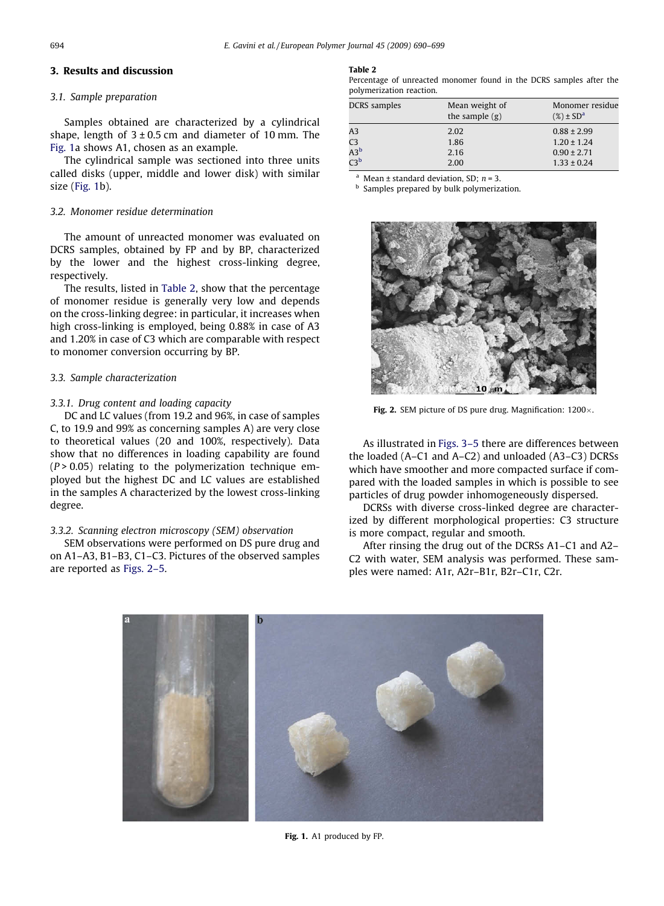# 3. Results and discussion

# 3.1. Sample preparation

Samples obtained are characterized by a cylindrical shape, length of  $3 \pm 0.5$  cm and diameter of 10 mm. The Fig. 1a shows A1, chosen as an example.

The cylindrical sample was sectioned into three units called disks (upper, middle and lower disk) with similar size (Fig. 1b).

#### 3.2. Monomer residue determination

The amount of unreacted monomer was evaluated on DCRS samples, obtained by FP and by BP, characterized by the lower and the highest cross-linking degree, respectively.

The results, listed in Table 2, show that the percentage of monomer residue is generally very low and depends on the cross-linking degree: in particular, it increases when high cross-linking is employed, being 0.88% in case of A3 and 1.20% in case of C3 which are comparable with respect to monomer conversion occurring by BP.

# 3.3. Sample characterization

## 3.3.1. Drug content and loading capacity

DC and LC values (from 19.2 and 96%, in case of samples C, to 19.9 and 99% as concerning samples A) are very close to theoretical values (20 and 100%, respectively). Data show that no differences in loading capability are found  $(P > 0.05)$  relating to the polymerization technique employed but the highest DC and LC values are established in the samples A characterized by the lowest cross-linking degree.

# 3.3.2. Scanning electron microscopy (SEM) observation

SEM observations were performed on DS pure drug and on A1–A3, B1–B3, C1–C3. Pictures of the observed samples are reported as Figs. 2–5.

#### Table 2

Percentage of unreacted monomer found in the DCRS samples after the polymerization reaction.

| DCRS samples    | Mean weight of<br>the sample $(g)$ | Monomer residue<br>$(\%) \pm SD^a$ |
|-----------------|------------------------------------|------------------------------------|
| A <sub>3</sub>  | 2.02                               | $0.88 \pm 2.99$                    |
| C <sub>3</sub>  | 1.86                               | $1.20 \pm 1.24$                    |
| A3 <sup>b</sup> | 2.16                               | $0.90 \pm 2.71$                    |
| C3 <sup>b</sup> | 2.00                               | $1.33 \pm 0.24$                    |

Mean  $\pm$  standard deviation, SD;  $n = 3$ .

Samples prepared by bulk polymerization.



**Fig. 2.** SEM picture of DS pure drug. Magnification:  $1200 \times$ .

As illustrated in [Figs. 3–5](#page-5-0) there are differences between the loaded (A–C1 and A–C2) and unloaded (A3–C3) DCRSs which have smoother and more compacted surface if compared with the loaded samples in which is possible to see particles of drug powder inhomogeneously dispersed.

DCRSs with diverse cross-linked degree are characterized by different morphological properties: C3 structure is more compact, regular and smooth.

After rinsing the drug out of the DCRSs A1–C1 and A2– C2 with water, SEM analysis was performed. These samples were named: A1r, A2r–B1r, B2r–C1r, C2r.



Fig. 1. A1 produced by FP.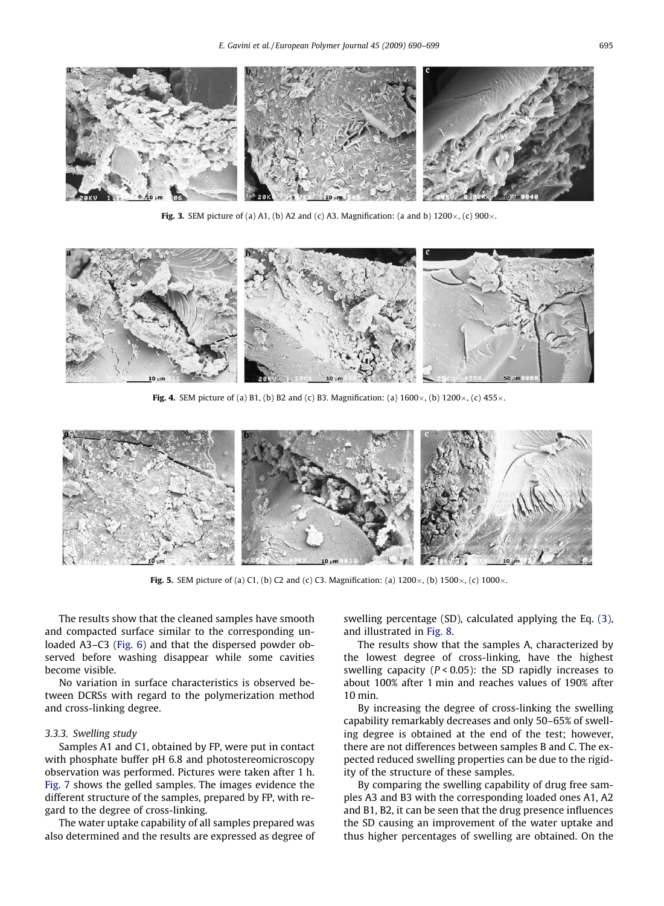<span id="page-5-0"></span>

**Fig. 3.** SEM picture of (a) A1, (b) A2 and (c) A3. Magnification: (a and b)  $1200 \times$ , (c)  $900 \times$ .



**Fig. 4.** SEM picture of (a) B1, (b) B2 and (c) B3. Magnification: (a)  $1600 \times$ , (b)  $1200 \times$ , (c)  $455 \times$ .



**Fig. 5.** SEM picture of (a) C1, (b) C2 and (c) C3. Magnification: (a)  $1200 \times$ , (b)  $1500 \times$ , (c)  $1000 \times$ .

The results show that the cleaned samples have smooth and compacted surface similar to the corresponding unloaded A3–C3 [\(Fig. 6\)](#page-6-0) and that the dispersed powder observed before washing disappear while some cavities become visible.

No variation in surface characteristics is observed between DCRSs with regard to the polymerization method and cross-linking degree.

# 3.3.3. Swelling study

Samples A1 and C1, obtained by FP, were put in contact with phosphate buffer pH 6.8 and photostereomicroscopy observation was performed. Pictures were taken after 1 h. [Fig. 7](#page-6-0) shows the gelled samples. The images evidence the different structure of the samples, prepared by FP, with regard to the degree of cross-linking.

The water uptake capability of all samples prepared was also determined and the results are expressed as degree of

swelling percentage (SD), calculated applying the Eq. [\(3\)](#page-3-0), and illustrated in [Fig. 8.](#page-6-0)

The results show that the samples A, characterized by the lowest degree of cross-linking, have the highest swelling capacity ( $P < 0.05$ ): the SD rapidly increases to about 100% after 1 min and reaches values of 190% after 10 min.

By increasing the degree of cross-linking the swelling capability remarkably decreases and only 50–65% of swelling degree is obtained at the end of the test; however, there are not differences between samples B and C. The expected reduced swelling properties can be due to the rigidity of the structure of these samples.

By comparing the swelling capability of drug free samples A3 and B3 with the corresponding loaded ones A1, A2 and B1, B2, it can be seen that the drug presence influences the SD causing an improvement of the water uptake and thus higher percentages of swelling are obtained. On the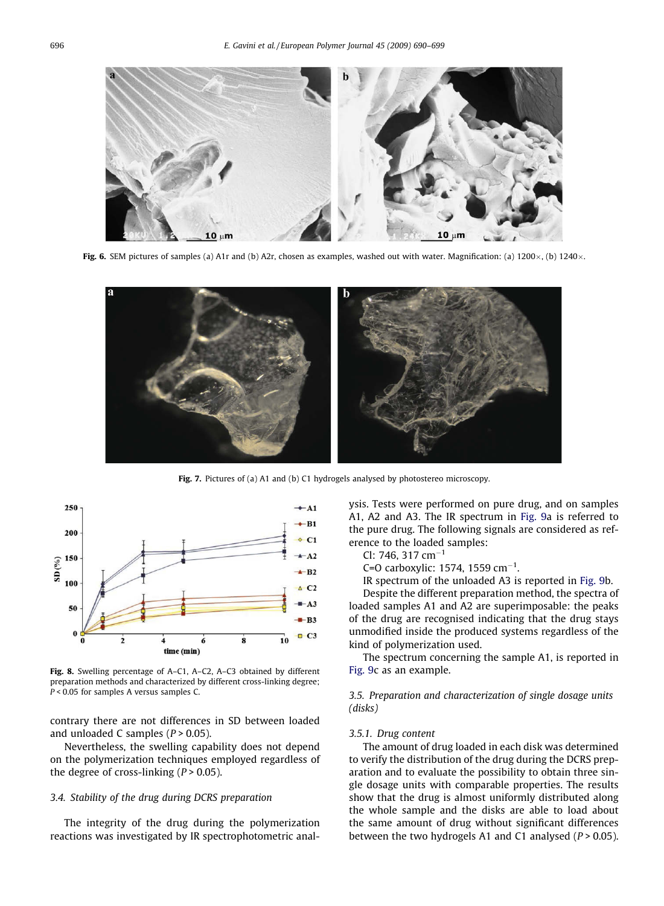<span id="page-6-0"></span>

**Fig. 6.** SEM pictures of samples (a) A1r and (b) A2r, chosen as examples, washed out with water. Magnification: (a) 1200 $\times$ , (b) 1240 $\times$ .



Fig. 7. Pictures of (a) A1 and (b) C1 hydrogels analysed by photostereo microscopy.



Fig. 8. Swelling percentage of A–C1, A–C2, A–C3 obtained by different preparation methods and characterized by different cross-linking degree; P < 0.05 for samples A versus samples C.

contrary there are not differences in SD between loaded and unloaded C samples  $(P > 0.05)$ .

Nevertheless, the swelling capability does not depend on the polymerization techniques employed regardless of the degree of cross-linking  $(P > 0.05)$ .

#### 3.4. Stability of the drug during DCRS preparation

The integrity of the drug during the polymerization reactions was investigated by IR spectrophotometric analysis. Tests were performed on pure drug, and on samples A1, A2 and A3. The IR spectrum in [Fig. 9](#page-7-0)a is referred to the pure drug. The following signals are considered as reference to the loaded samples:

Cl: 746, 317 cm<sup>-1</sup>

C=O carboxylic: 1574, 1559 cm<sup>-1</sup>.

IR spectrum of the unloaded A3 is reported in [Fig. 9](#page-7-0)b.

Despite the different preparation method, the spectra of loaded samples A1 and A2 are superimposable: the peaks of the drug are recognised indicating that the drug stays unmodified inside the produced systems regardless of the kind of polymerization used.

The spectrum concerning the sample A1, is reported in [Fig. 9c](#page-7-0) as an example.

# 3.5. Preparation and characterization of single dosage units (disks)

#### 3.5.1. Drug content

The amount of drug loaded in each disk was determined to verify the distribution of the drug during the DCRS preparation and to evaluate the possibility to obtain three single dosage units with comparable properties. The results show that the drug is almost uniformly distributed along the whole sample and the disks are able to load about the same amount of drug without significant differences between the two hydrogels A1 and C1 analysed  $(P > 0.05)$ .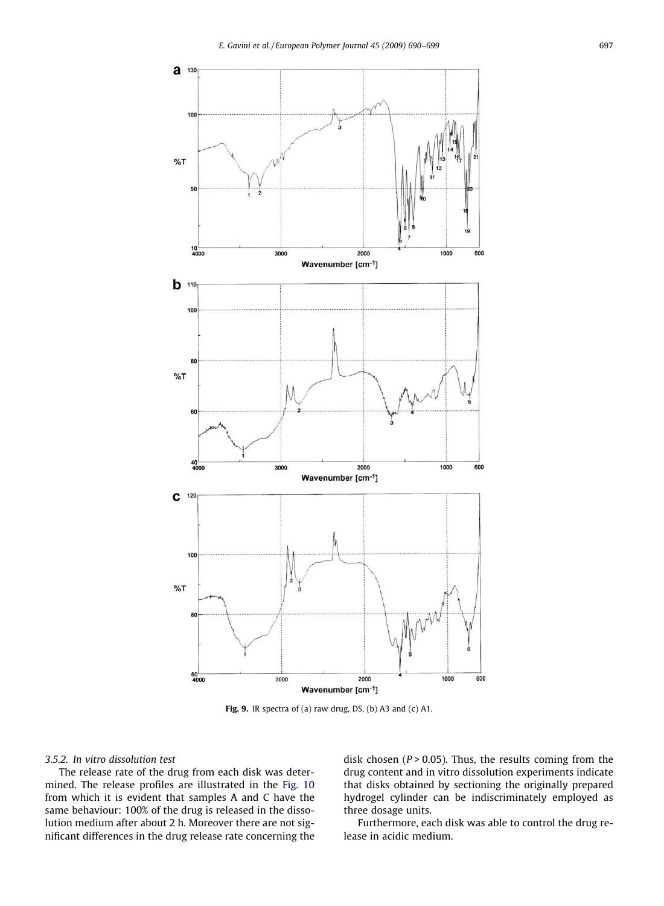<span id="page-7-0"></span>

Fig. 9. IR spectra of (a) raw drug, DS, (b) A3 and (c) A1.

# 3.5.2. In vitro dissolution test

The release rate of the drug from each disk was determined. The release profiles are illustrated in the [Fig. 10](#page-8-0) from which it is evident that samples A and C have the same behaviour: 100% of the drug is released in the dissolution medium after about 2 h. Moreover there are not significant differences in the drug release rate concerning the disk chosen ( $P > 0.05$ ). Thus, the results coming from the drug content and in vitro dissolution experiments indicate that disks obtained by sectioning the originally prepared hydrogel cylinder can be indiscriminately employed as three dosage units.

Furthermore, each disk was able to control the drug release in acidic medium.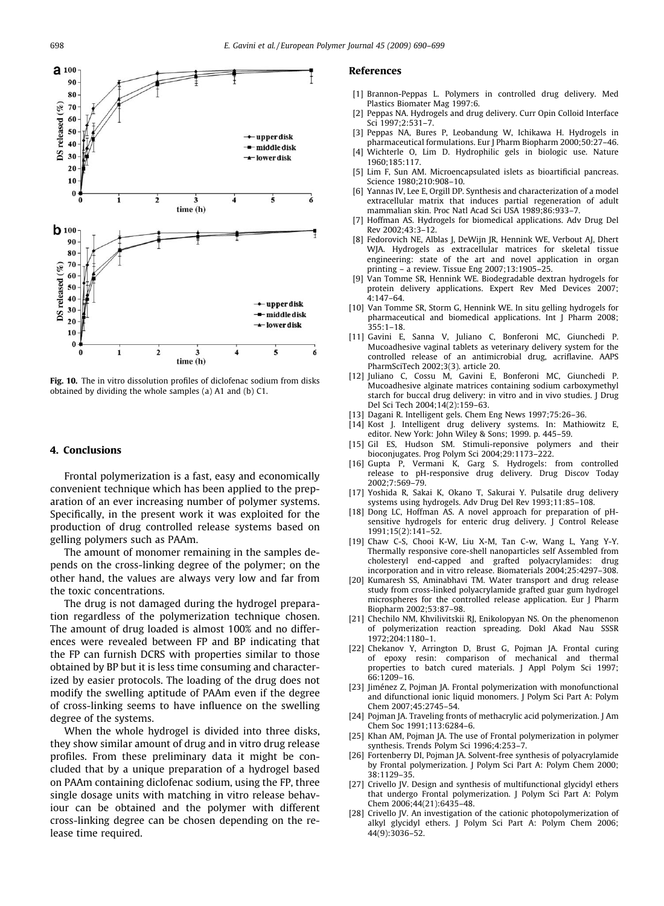<span id="page-8-0"></span>

Fig. 10. The in vitro dissolution profiles of diclofenac sodium from disks obtained by dividing the whole samples (a) A1 and (b) C1.

#### 4. Conclusions

Frontal polymerization is a fast, easy and economically convenient technique which has been applied to the preparation of an ever increasing number of polymer systems. Specifically, in the present work it was exploited for the production of drug controlled release systems based on gelling polymers such as PAAm.

The amount of monomer remaining in the samples depends on the cross-linking degree of the polymer; on the other hand, the values are always very low and far from the toxic concentrations.

The drug is not damaged during the hydrogel preparation regardless of the polymerization technique chosen. The amount of drug loaded is almost 100% and no differences were revealed between FP and BP indicating that the FP can furnish DCRS with properties similar to those obtained by BP but it is less time consuming and characterized by easier protocols. The loading of the drug does not modify the swelling aptitude of PAAm even if the degree of cross-linking seems to have influence on the swelling degree of the systems.

When the whole hydrogel is divided into three disks, they show similar amount of drug and in vitro drug release profiles. From these preliminary data it might be concluded that by a unique preparation of a hydrogel based on PAAm containing diclofenac sodium, using the FP, three single dosage units with matching in vitro release behaviour can be obtained and the polymer with different cross-linking degree can be chosen depending on the release time required.

#### References

- [1] Brannon-Peppas L. Polymers in controlled drug delivery. Med Plastics Biomater Mag 1997:6.
- [2] Peppas NA. Hydrogels and drug delivery. Curr Opin Colloid Interface Sci 1997;2:531–7.
- [3] Peppas NA, Bures P, Leobandung W, Ichikawa H. Hydrogels in pharmaceutical formulations. Eur J Pharm Biopharm 2000;50:27–46.
- [4] Wichterle O, Lim D. Hydrophilic gels in biologic use. Nature 1960;185:117.
- [5] Lim F, Sun AM. Microencapsulated islets as bioartificial pancreas. Science 1980;210:908–10.
- [6] Yannas IV, Lee E, Orgill DP. Synthesis and characterization of a model extracellular matrix that induces partial regeneration of adult mammalian skin. Proc Natl Acad Sci USA 1989;86:933–7.
- [7] Hoffman AS. Hydrogels for biomedical applications. Adv Drug Del Rev 2002;43:3–12.
- [8] Fedorovich NE, Alblas J, DeWijn JR, Hennink WE, Verbout AJ, Dhert WJA. Hydrogels as extracellular matrices for skeletal tissue engineering: state of the art and novel application in organ printing – a review. Tissue Eng 2007;13:1905–25.
- [9] Van Tomme SR, Hennink WE. Biodegradable dextran hydrogels for protein delivery applications. Expert Rev Med Devices 2007; 4:147–64.
- [10] Van Tomme SR, Storm G, Hennink WE. In situ gelling hydrogels for pharmaceutical and biomedical applications. Int J Pharm 2008;  $355 \cdot 1 - 18$
- [11] Gavini E, Sanna V, Juliano C, Bonferoni MC, Giunchedi P. Mucoadhesive vaginal tablets as veterinary delivery system for the controlled release of an antimicrobial drug, acriflavine. AAPS PharmSciTech 2002;3(3). article 20.
- [12] Juliano C, Cossu M, Gavini E, Bonferoni MC, Giunchedi P. Mucoadhesive alginate matrices containing sodium carboxymethyl starch for buccal drug delivery: in vitro and in vivo studies. J Drug Del Sci Tech 2004;14(2):159–63.
- [13] Dagani R. Intelligent gels. Chem Eng News 1997;75:26–36.
- [14] Kost J. Intelligent drug delivery systems. In: Mathiowitz E,
- editor. New York: John Wiley & Sons; 1999. p. 445–59. [15] Gil ES, Hudson SM. Stimuli-reponsive polymers and their
- bioconjugates. Prog Polym Sci 2004;29:1173–222. [16] Gupta P, Vermani K, Garg S. Hydrogels: from controlled release to pH-responsive drug delivery. Drug Discov Today
- 2002;7:569–79. [17] Yoshida R, Sakai K, Okano T, Sakurai Y. Pulsatile drug delivery systems using hydrogels. Adv Drug Del Rev 1993;11:85–108.
- [18] Dong LC, Hoffman AS. A novel approach for preparation of pHsensitive hydrogels for enteric drug delivery. J Control Release 1991;15(2):141–52.
- [19] Chaw C-S, Chooi K-W, Liu X-M, Tan C-w, Wang L, Yang Y-Y. Thermally responsive core-shell nanoparticles self Assembled from cholesteryl end-capped and grafted polyacrylamides: drug incorporation and in vitro release. Biomaterials 2004;25:4297–308.
- [20] Kumaresh SS, Aminabhavi TM. Water transport and drug release study from cross-linked polyacrylamide grafted guar gum hydrogel microspheres for the controlled release application. Eur J Pharm Biopharm 2002;53:87–98.
- [21] Chechilo NM, Khvilivitskii RJ, Enikolopyan NS. On the phenomenon of polymerization reaction spreading. Dokl Akad Nau SSSR 1972;204:1180–1.
- [22] Chekanov Y, Arrington D, Brust G, Pojman JA. Frontal curing of epoxy resin: comparison of mechanical and thermal properties to batch cured materials. J Appl Polym Sci 1997; 66:1209–16.
- [23] Jiménez Z, Pojman JA. Frontal polymerization with monofunctional and difunctional ionic liquid monomers. J Polym Sci Part A: Polym Chem 2007;45:2745–54.
- [24] Pojman JA. Traveling fronts of methacrylic acid polymerization. J Am Chem Soc 1991;113:6284–6.
- [25] Khan AM, Pojman JA. The use of Frontal polymerization in polymer synthesis. Trends Polym Sci 1996;4:253–7.
- [26] Fortenberry DI, Pojman JA, Solvent-free synthesis of polyacrylamide by Frontal polymerization. J Polym Sci Part A: Polym Chem 2000; 38:1129–35.
- [27] Crivello JV. Design and synthesis of multifunctional glycidyl ethers that undergo Frontal polymerization. J Polym Sci Part A: Polym Chem 2006;44(21):6435–48.
- [28] Crivello JV. An investigation of the cationic photopolymerization of alkyl glycidyl ethers. J Polym Sci Part A: Polym Chem 2006; 44(9):3036–52.